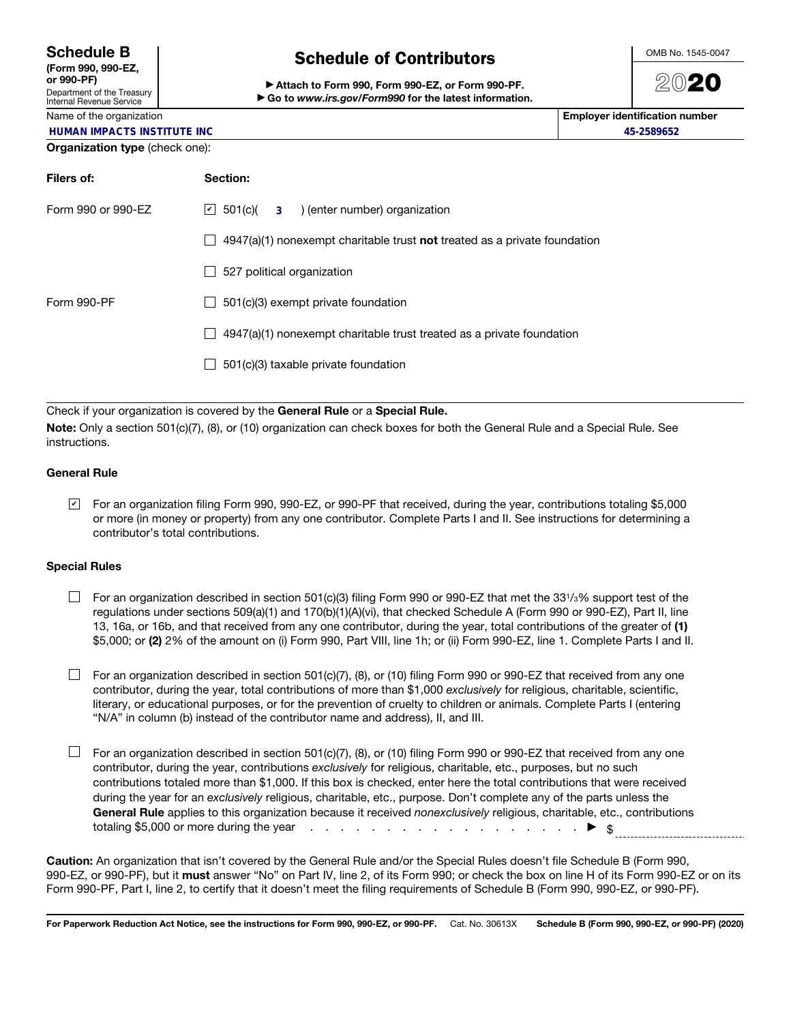(Form 990, 990-EZ, or 990-PF) Department of the Treasury

## Internal Revenue Service

## Name of the organization

# Schedule of Contributors

▶ Attach to Form 990, Form 990-EZ, or Form 990-PF. ▶ Go to *www.irs.gov/Form990* for the latest information.



2020

| Name of the organization           | Employer identification number |
|------------------------------------|--------------------------------|
| <b>HUMAN IMPACTS INSTITUTE INC</b> | 45-2589652                     |

## Organization type (check one):

| Filers of:         | Section:                                                                           |
|--------------------|------------------------------------------------------------------------------------|
| Form 990 or 990-EZ | $\vert \angle$ 501(c)( 3) (enter number) organization                              |
|                    | $4947(a)(1)$ nonexempt charitable trust <b>not</b> treated as a private foundation |
|                    | 527 political organization                                                         |
| Form 990-PF        | 501(c)(3) exempt private foundation                                                |
|                    | $4947(a)(1)$ nonexempt charitable trust treated as a private foundation            |
|                    | 501(c)(3) taxable private foundation                                               |
|                    |                                                                                    |

Check if your organization is covered by the General Rule or a Special Rule.

Note: Only a section 501(c)(7), (8), or (10) organization can check boxes for both the General Rule and a Special Rule. See instructions.

### General Rule

For an organization filing Form 990, 990-EZ, or 990-PF that received, during the year, contributions totaling \$5,000 ✔ or more (in money or property) from any one contributor. Complete Parts I and II. See instructions for determining a contributor's total contributions.

#### Special Rules

 $\Box$  For an organization described in section 501(c)(3) filing Form 990 or 990-EZ that met the 331/3% support test of the regulations under sections 509(a)(1) and 170(b)(1)(A)(vi), that checked Schedule A (Form 990 or 990-EZ), Part II, line 13, 16a, or 16b, and that received from any one contributor, during the year, total contributions of the greater of (1) \$5,000; or (2) 2% of the amount on (i) Form 990, Part VIII, line 1h; or (ii) Form 990-EZ, line 1. Complete Parts I and II.

 $\Box$  For an organization described in section 501(c)(7), (8), or (10) filing Form 990 or 990-EZ that received from any one contributor, during the year, total contributions of more than \$1,000 *exclusively* for religious, charitable, scientific, literary, or educational purposes, or for the prevention of cruelty to children or animals. Complete Parts I (entering "N/A" in column (b) instead of the contributor name and address), II, and III.

 $\Box$  For an organization described in section 501(c)(7), (8), or (10) filing Form 990 or 990-EZ that received from any one contributor, during the year, contributions *exclusively* for religious, charitable, etc., purposes, but no such contributions totaled more than \$1,000. If this box is checked, enter here the total contributions that were received during the year for an *exclusively* religious, charitable, etc., purpose. Don't complete any of the parts unless the General Rule applies to this organization because it received *nonexclusively* religious, charitable, etc., contributions totaling \$5,000 or more during the year  $\cdots$  . . . . . . . . . . . . . . . . .  $\blacktriangleright \ \ \ \$$ 

Caution: An organization that isn't covered by the General Rule and/or the Special Rules doesn't file Schedule B (Form 990, 990-EZ, or 990-PF), but it must answer "No" on Part IV, line 2, of its Form 990; or check the box on line H of its Form 990-EZ or on its Form 990-PF, Part I, line 2, to certify that it doesn't meet the filing requirements of Schedule B (Form 990, 990-EZ, or 990-PF).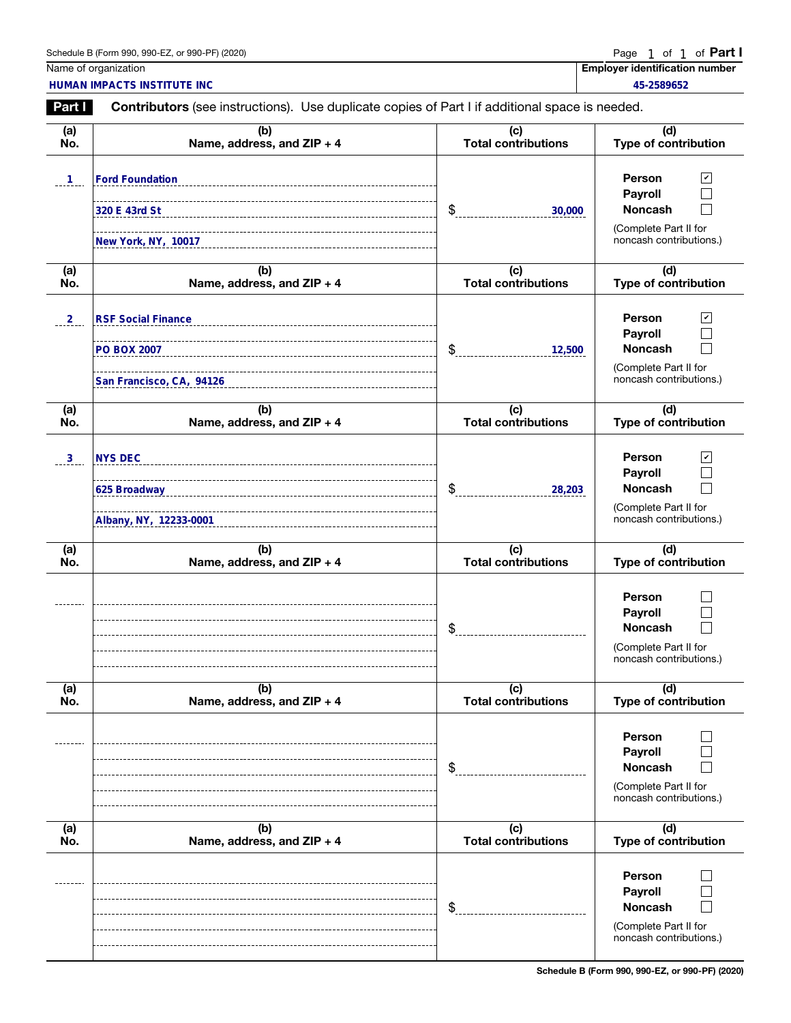| Schedule B (Form 990, 990-EZ, or 990-PF) (2020) | Page 1 of 1 of <b>Part</b> |
|-------------------------------------------------|----------------------------|
|-------------------------------------------------|----------------------------|

1

|                      | Schedule B (Form 990, 990-EZ, or 990-PF) (2020)                                                |                                   | Page<br>1 of 1 of <b>Part I</b>                                                                                        |
|----------------------|------------------------------------------------------------------------------------------------|-----------------------------------|------------------------------------------------------------------------------------------------------------------------|
|                      | Name of organization<br>HUMAN IMPACTS INSTITUTE INC                                            |                                   | <b>Employer identification number</b><br>45-2589652                                                                    |
| <b>Part I</b>        | Contributors (see instructions). Use duplicate copies of Part I if additional space is needed. |                                   |                                                                                                                        |
| (a)<br>No.           | (b)<br>Name, address, and ZIP + 4                                                              | (c)<br><b>Total contributions</b> | (d)<br><b>Type of contribution</b>                                                                                     |
| $\mathbf{1}$         | <b>Ford Foundation</b><br>320 E 43rd St<br>New York, NY, 10017                                 | \$<br>30,000                      | $\blacktriangledown$<br>Person<br>Payroll<br><b>Noncash</b><br>(Complete Part II for<br>noncash contributions.)        |
| (a)<br>No.           | (b)<br>Name, address, and ZIP + 4                                                              | (c)<br><b>Total contributions</b> | (d)<br><b>Type of contribution</b>                                                                                     |
| . 2                  | <b>RSF Social Finance</b><br>San Francisco, CA, 94126                                          | \$<br>12,500                      | Person<br>$\mathbf v$<br>Payroll<br><b>Noncash</b><br>(Complete Part II for<br>noncash contributions.)                 |
| (a)<br>No.           | (b)<br>Name, address, and ZIP + 4                                                              | (c)<br><b>Total contributions</b> | (d)<br><b>Type of contribution</b>                                                                                     |
| $\frac{3}{2}$<br>(a) | <b>NYS DEC</b><br>_________________________________<br>Albany, NY, 12233-0001<br>(b)           | \$<br>28,203<br>(c)               | $\mathbf{v}$<br>Person<br>Payroll<br><b>Noncash</b><br>(Complete Part II for<br>noncash contributions.)<br>(d)         |
| No.                  | Name, address, and ZIP + 4                                                                     | <b>Total contributions</b><br>¢   | <b>Type of contribution</b><br>Person<br>Payroll<br><b>Noncash</b><br>(Complete Part II for<br>noncash contributions.) |
| (a)<br>No.           | (b)<br>Name, address, and ZIP + 4                                                              | (c)<br><b>Total contributions</b> | (d)<br>Type of contribution                                                                                            |
|                      |                                                                                                | \$                                | Person<br>Payroll<br><b>Noncash</b><br>(Complete Part II for<br>noncash contributions.)                                |
| (a)<br>No.           | (b)<br>Name, address, and ZIP + 4                                                              | (c)<br><b>Total contributions</b> | (d)<br>Type of contribution                                                                                            |
|                      |                                                                                                | \$                                | Person<br>Payroll<br><b>Noncash</b><br>(Complete Part II for<br>noncash contributions.)                                |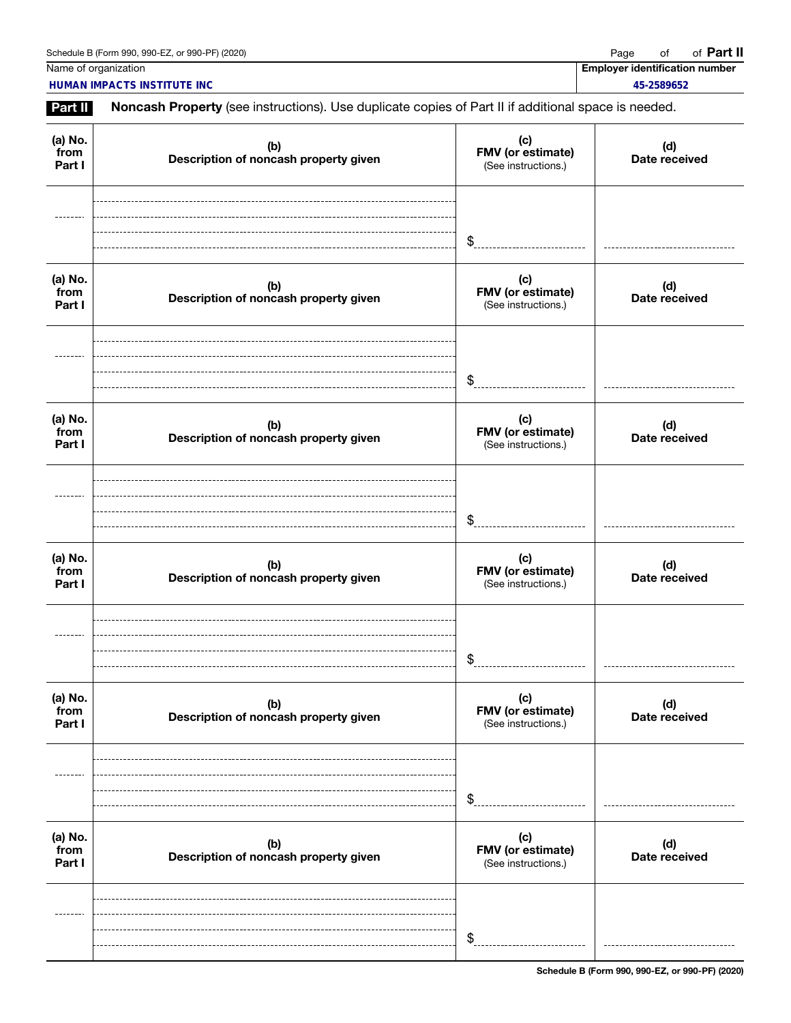Name of organization **Employer identification number**  $\blacksquare$ 

**HUMAN IMPACTS INSTITUTE INC 45-2589652**

Part II Noncash Property (see instructions). Use duplicate copies of Part II if additional space is needed.

| (a) No.<br>from<br>Part I | (b)<br>Description of noncash property given | (c)<br>FMV (or estimate)<br>(See instructions.) | (d)<br>Date received |
|---------------------------|----------------------------------------------|-------------------------------------------------|----------------------|
|                           |                                              | \$                                              |                      |
| (a) No.<br>from<br>Part I | (b)<br>Description of noncash property given | (c)<br>FMV (or estimate)<br>(See instructions.) | (d)<br>Date received |
|                           |                                              | \$                                              |                      |
| (a) No.<br>from<br>Part I | (b)<br>Description of noncash property given | (c)<br>FMV (or estimate)<br>(See instructions.) | (d)<br>Date received |
|                           |                                              | \$                                              |                      |
| (a) No.<br>from<br>Part I | (b)<br>Description of noncash property given | (c)<br>FMV (or estimate)<br>(See instructions.) | (d)<br>Date received |
|                           |                                              | \$                                              |                      |
| (a) No.<br>from<br>Part I | (b)<br>Description of noncash property given | (c)<br>FMV (or estimate)<br>(See instructions.) | (d)<br>Date received |
|                           |                                              | \$                                              |                      |
| (a) No.<br>from<br>Part I | (b)<br>Description of noncash property given | (c)<br>FMV (or estimate)<br>(See instructions.) | (d)<br>Date received |
|                           |                                              | \$                                              |                      |